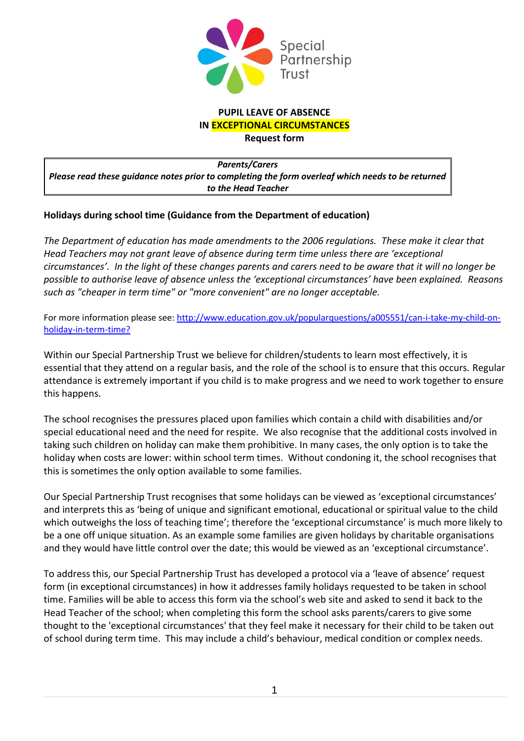

#### **PUPIL LEAVE OF ABSENCE IN EXCEPTIONAL CIRCUMSTANCES**

**Request form**

*Parents/Carers Please read these guidance notes prior to completing the form overleaf which needs to be returned to the Head Teacher*

## **Holidays during school time (Guidance from the Department of education)**

*The Department of education has made amendments to the 2006 regulations. These make it clear that Head Teachers may not grant leave of absence during term time unless there are 'exceptional circumstances'. In the light of these changes parents and carers need to be aware that it will no longer be possible to authorise leave of absence unless the 'exceptional circumstances' have been explained. Reasons such as "cheaper in term time" or "more convenient" are no longer acceptable.*

For more information please see: [http://www.education.gov.uk/popularquestions/a005551/can-i-take-my-child-on](http://www.education.gov.uk/popularquestions/a005551/can-i-take-my-child-on-holiday-in-term-time?)[holiday-in-term-time?](http://www.education.gov.uk/popularquestions/a005551/can-i-take-my-child-on-holiday-in-term-time?)

Within our Special Partnership Trust we believe for children/students to learn most effectively, it is essential that they attend on a regular basis, and the role of the school is to ensure that this occurs. Regular attendance is extremely important if you child is to make progress and we need to work together to ensure this happens.

The school recognises the pressures placed upon families which contain a child with disabilities and/or special educational need and the need for respite. We also recognise that the additional costs involved in taking such children on holiday can make them prohibitive. In many cases, the only option is to take the holiday when costs are lower: within school term times. Without condoning it, the school recognises that this is sometimes the only option available to some families.

Our Special Partnership Trust recognises that some holidays can be viewed as 'exceptional circumstances' and interprets this as 'being of unique and significant emotional, educational or spiritual value to the child which outweighs the loss of teaching time'; therefore the 'exceptional circumstance' is much more likely to be a one off unique situation. As an example some families are given holidays by charitable organisations and they would have little control over the date; this would be viewed as an 'exceptional circumstance'.

To address this, our Special Partnership Trust has developed a protocol via a 'leave of absence' request form (in exceptional circumstances) in how it addresses family holidays requested to be taken in school time. Families will be able to access this form via the school's web site and asked to send it back to the Head Teacher of the school; when completing this form the school asks parents/carers to give some thought to the 'exceptional circumstances' that they feel make it necessary for their child to be taken out of school during term time. This may include a child's behaviour, medical condition or complex needs.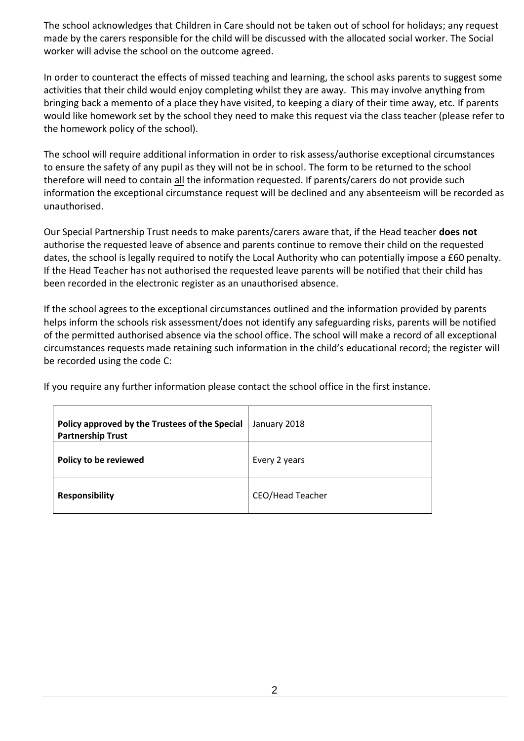The school acknowledges that Children in Care should not be taken out of school for holidays; any request made by the carers responsible for the child will be discussed with the allocated social worker. The Social worker will advise the school on the outcome agreed.

In order to counteract the effects of missed teaching and learning, the school asks parents to suggest some activities that their child would enjoy completing whilst they are away. This may involve anything from bringing back a memento of a place they have visited, to keeping a diary of their time away, etc. If parents would like homework set by the school they need to make this request via the class teacher (please refer to the homework policy of the school).

The school will require additional information in order to risk assess/authorise exceptional circumstances to ensure the safety of any pupil as they will not be in school. The form to be returned to the school therefore will need to contain all the information requested. If parents/carers do not provide such information the exceptional circumstance request will be declined and any absenteeism will be recorded as unauthorised.

Our Special Partnership Trust needs to make parents/carers aware that, if the Head teacher **does not** authorise the requested leave of absence and parents continue to remove their child on the requested dates, the school is legally required to notify the Local Authority who can potentially impose a £60 penalty. If the Head Teacher has not authorised the requested leave parents will be notified that their child has been recorded in the electronic register as an unauthorised absence.

If the school agrees to the exceptional circumstances outlined and the information provided by parents helps inform the schools risk assessment/does not identify any safeguarding risks, parents will be notified of the permitted authorised absence via the school office. The school will make a record of all exceptional circumstances requests made retaining such information in the child's educational record; the register will be recorded using the code C:

If you require any further information please contact the school office in the first instance.

| Policy approved by the Trustees of the Special<br><b>Partnership Trust</b> | January 2018            |
|----------------------------------------------------------------------------|-------------------------|
| Policy to be reviewed                                                      | Every 2 years           |
| <b>Responsibility</b>                                                      | <b>CEO/Head Teacher</b> |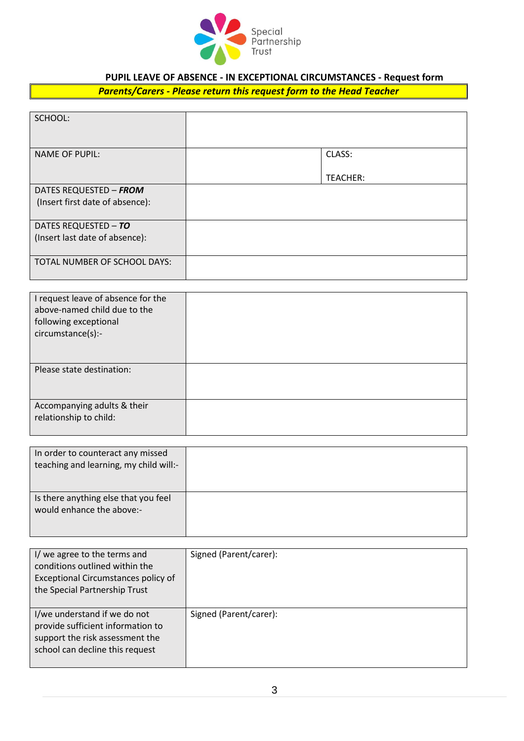

# **PUPIL LEAVE OF ABSENCE - IN EXCEPTIONAL CIRCUMSTANCES - Request form**

## *Parents/Carers - Please return this request form to the Head Teacher*

| SCHOOL:                         |                 |
|---------------------------------|-----------------|
| <b>NAME OF PUPIL:</b>           | CLASS:          |
|                                 | <b>TEACHER:</b> |
| DATES REQUESTED - FROM          |                 |
| (Insert first date of absence): |                 |
| DATES REQUESTED - TO            |                 |
| (Insert last date of absence):  |                 |
|                                 |                 |
| TOTAL NUMBER OF SCHOOL DAYS:    |                 |

| I request leave of absence for the<br>above-named child due to the<br>following exceptional<br>circumstance(s):- |  |
|------------------------------------------------------------------------------------------------------------------|--|
| Please state destination:                                                                                        |  |
| Accompanying adults & their<br>relationship to child:                                                            |  |

| In order to counteract any missed<br>teaching and learning, my child will:- |  |
|-----------------------------------------------------------------------------|--|
| Is there anything else that you feel<br>would enhance the above:-           |  |

| I/ we agree to the terms and<br>conditions outlined within the<br>Exceptional Circumstances policy of<br>the Special Partnership Trust  | Signed (Parent/carer): |
|-----------------------------------------------------------------------------------------------------------------------------------------|------------------------|
| I/we understand if we do not<br>provide sufficient information to<br>support the risk assessment the<br>school can decline this request | Signed (Parent/carer): |